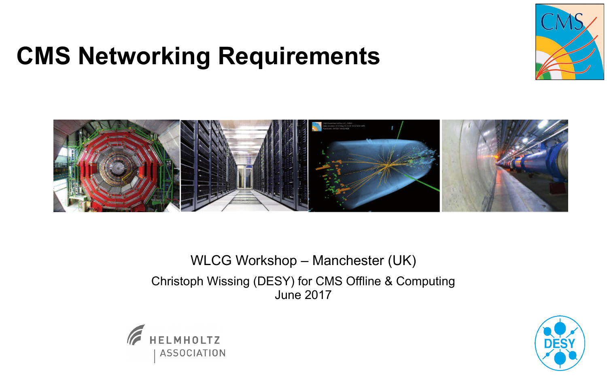# **CMS Networking Requirements**



#### WLCG Workshop – Manchester (UK) Christoph Wissing (DESY) for CMS Offline & Computing June 2017



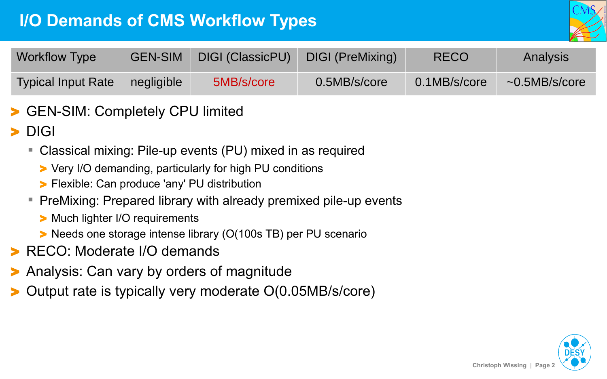## **I/O Demands of CMS Workflow Types**



| <b>Workflow Type</b>      | <b>GEN-SIM</b> | DIGI (ClassicPU) | DIGI (PreMixing) | <b>RECO</b>  | Analysis            |
|---------------------------|----------------|------------------|------------------|--------------|---------------------|
| <b>Typical Input Rate</b> | negligible     | 5MB/s/core       | 0.5MB/s/core     | 0.1MB/s/core | $\sim$ 0.5MB/s/core |

- GEN-SIM: Completely CPU limited
- > DIGI
	- Classical mixing: Pile-up events (PU) mixed in as required
		- > Very I/O demanding, particularly for high PU conditions
		- > Flexible: Can produce 'any' PU distribution
	- PreMixing: Prepared library with already premixed pile-up events
		- > Much lighter I/O requirements
		- > Needs one storage intense library (O(100s TB) per PU scenario
- > RECO: Moderate I/O demands
- > Analysis: Can vary by orders of magnitude
- > Output rate is typically very moderate O(0.05MB/s/core)

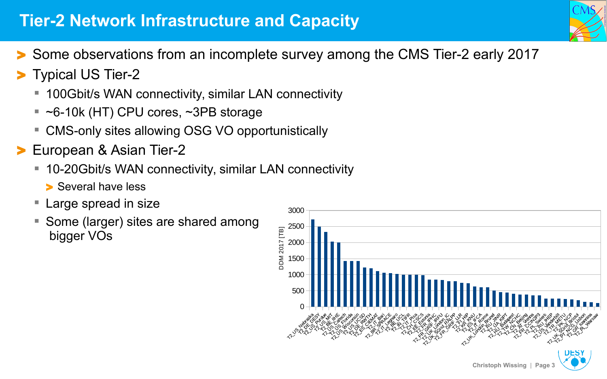### **Tier-2 Network Infrastructure and Capacity**

- > Some observations from an incomplete survey among the CMS Tier-2 early 2017
- > Typical US Tier-2
	- 100Gbit/s WAN connectivity, similar LAN connectivity
	- $\sim$  6-10k (HT) CPU cores,  $\sim$ 3PB storage
	- CMS-only sites allowing OSG VO opportunistically
- > European & Asian Tier-2
	- 10-20Gbit/s WAN connectivity, similar LAN connectivity
		- > Several have less
	- **Large spread in size**
	- **Some (larger) sites are shared among** bigger VOs

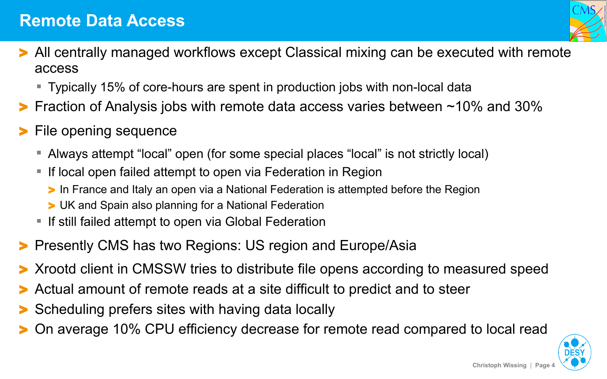- All centrally managed workflows except Classical mixing can be executed with remote access
	- Typically 15% of core-hours are spent in production jobs with non-local data
- > Fraction of Analysis jobs with remote data access varies between ~10% and 30%
- File opening sequence
	- Always attempt "local" open (for some special places "local" is not strictly local)
	- **If local open failed attempt to open via Federation in Region** 
		- > In France and Italy an open via a National Federation is attempted before the Region
		- > UK and Spain also planning for a National Federation
	- **If still failed attempt to open via Global Federation**
- > Presently CMS has two Regions: US region and Europe/Asia
- > Xrootd client in CMSSW tries to distribute file opens according to measured speed
- Actual amount of remote reads at a site difficult to predict and to steer
- Scheduling prefers sites with having data locally
- > On average 10% CPU efficiency decrease for remote read compared to local read

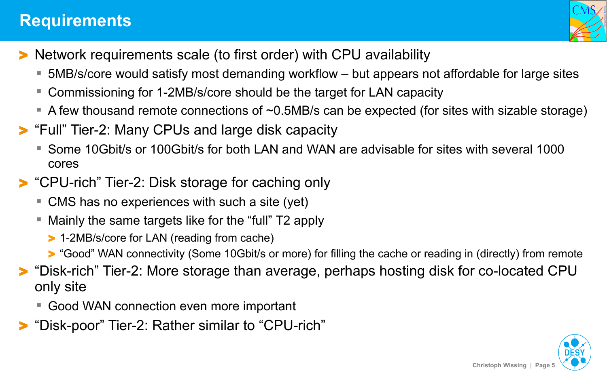#### **Requirements**



- > Network requirements scale (to first order) with CPU availability
	- 5MB/s/core would satisfy most demanding workflow but appears not affordable for large sites
	- Commissioning for 1-2MB/s/core should be the target for LAN capacity
	- A few thousand remote connections of  $\sim$ 0.5MB/s can be expected (for sites with sizable storage)
- > "Full" Tier-2: Many CPUs and large disk capacity
	- Some 10Gbit/s or 100Gbit/s for both LAN and WAN are advisable for sites with several 1000 cores
- > "CPU-rich" Tier-2: Disk storage for caching only
	- CMS has no experiences with such a site (yet)
	- Mainly the same targets like for the "full" T2 apply
		- > 1-2MB/s/core for LAN (reading from cache)
		- > "Good" WAN connectivity (Some 10Gbit/s or more) for filling the cache or reading in (directly) from remote
- > "Disk-rich" Tier-2: More storage than average, perhaps hosting disk for co-located CPU only site
	- Good WAN connection even more important
- "Disk-poor" Tier-2: Rather similar to "CPU-rich"



**Christoph Wissing** | **Page 5**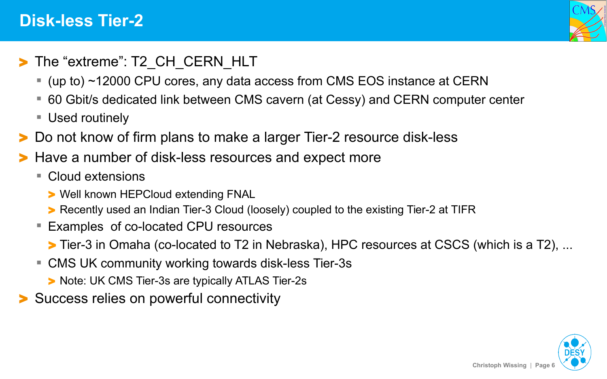#### **Disk-less Tier-2**



- > The "extreme": T2 CH CERN HLT
	- (up to) ~12000 CPU cores, any data access from CMS EOS instance at CERN
	- 60 Gbit/s dedicated link between CMS cavern (at Cessy) and CERN computer center
	- Used routinely
- > Do not know of firm plans to make a larger Tier-2 resource disk-less
- Have a number of disk-less resources and expect more
	- Cloud extensions
		- > Well known HEPCloud extending FNAL
		- > Recently used an Indian Tier-3 Cloud (loosely) coupled to the existing Tier-2 at TIFR
	- Examples of co-located CPU resources
		- > Tier-3 in Omaha (co-located to T2 in Nebraska), HPC resources at CSCS (which is a T2), ...
	- CMS UK community working towards disk-less Tier-3s
		- > Note: UK CMS Tier-3s are typically ATLAS Tier-2s
- > Success relies on powerful connectivity



**Christoph Wissing** | **Page 6**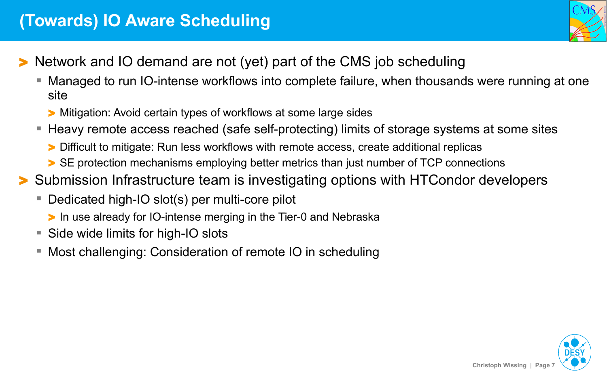

- Network and IO demand are not (yet) part of the CMS job scheduling
	- Managed to run IO-intense workflows into complete failure, when thousands were running at one site
		- > Mitigation: Avoid certain types of workflows at some large sides
	- Heavy remote access reached (safe self-protecting) limits of storage systems at some sites
		- > Difficult to mitigate: Run less workflows with remote access, create additional replicas
		- > SE protection mechanisms employing better metrics than just number of TCP connections
- > Submission Infrastructure team is investigating options with HTCondor developers
	- Dedicated high-IO slot(s) per multi-core pilot
		- > In use already for IO-intense merging in the Tier-0 and Nebraska
	- Side wide limits for high-IO slots
	- Most challenging: Consideration of remote IO in scheduling

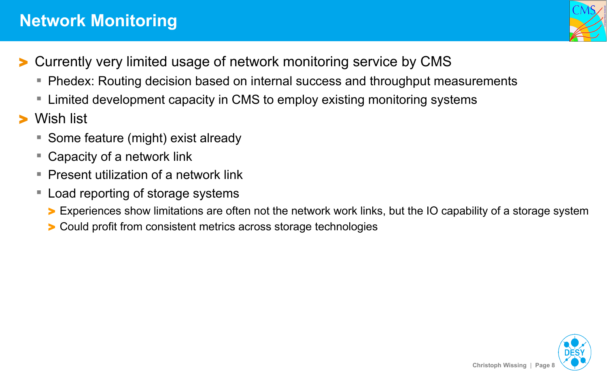#### **Network Monitoring**

- > Currently very limited usage of network monitoring service by CMS
	- Phedex: Routing decision based on internal success and throughput measurements
	- Limited development capacity in CMS to employ existing monitoring systems
- Wish list
	- Some feature (might) exist already
	- Capacity of a network link
	- **Present utilization of a network link**
	- Load reporting of storage systems
		- > Experiences show limitations are often not the network work links, but the IO capability of a storage system
		- > Could profit from consistent metrics across storage technologies